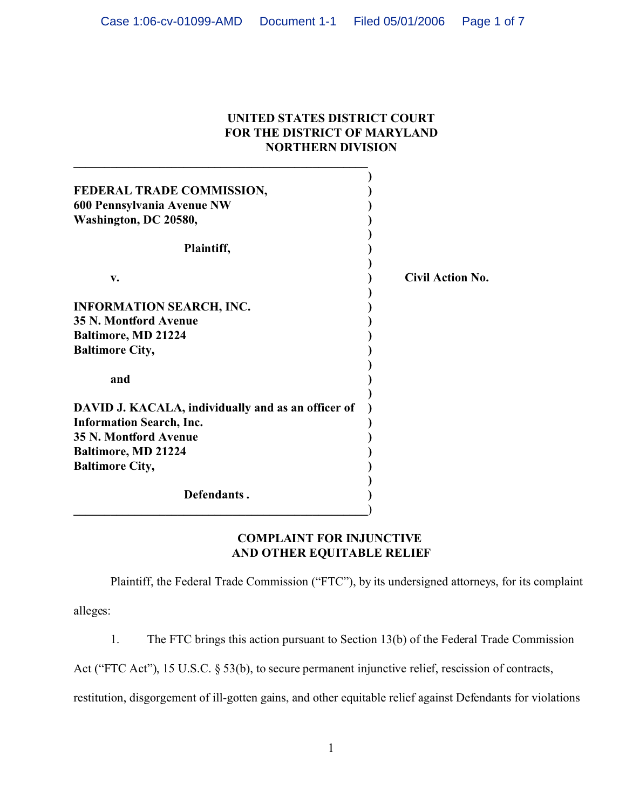## **UNITED STATES DISTRICT COURT FOR THE DISTRICT OF MARYLAND NORTHERN DIVISION**

| FEDERAL TRADE COMMISSION,<br>600 Pennsylvania Avenue NW |                         |
|---------------------------------------------------------|-------------------------|
| Washington, DC 20580,                                   |                         |
|                                                         |                         |
| Plaintiff,                                              |                         |
| $V_{\bullet}$                                           | <b>Civil Action No.</b> |
| <b>INFORMATION SEARCH, INC.</b>                         |                         |
| <b>35 N. Montford Avenue</b>                            |                         |
| <b>Baltimore, MD 21224</b>                              |                         |
| <b>Baltimore City,</b>                                  |                         |
| and                                                     |                         |
| DAVID J. KACALA, individually and as an officer of      |                         |
| <b>Information Search, Inc.</b>                         |                         |
| <b>35 N. Montford Avenue</b>                            |                         |
| <b>Baltimore, MD 21224</b>                              |                         |
| <b>Baltimore City,</b>                                  |                         |
| Defendants.                                             |                         |

**\_\_\_\_\_\_\_\_\_\_\_\_\_\_\_\_\_\_\_\_\_\_\_\_\_\_\_\_\_\_\_\_\_\_\_\_\_\_\_\_\_\_\_\_\_\_\_\_** 

# **COMPLAINT FOR INJUNCTIVE AND OTHER EQUITABLE RELIEF**

Plaintiff, the Federal Trade Commission ("FTC"), by its undersigned attorneys, for its complaint

alleges:

1. The FTC brings this action pursuant to Section 13(b) of the Federal Trade Commission

Act ("FTC Act"), 15 U.S.C. § 53(b), to secure permanent injunctive relief, rescission of contracts,

restitution, disgorgement of ill-gotten gains, and other equitable relief against Defendants for violations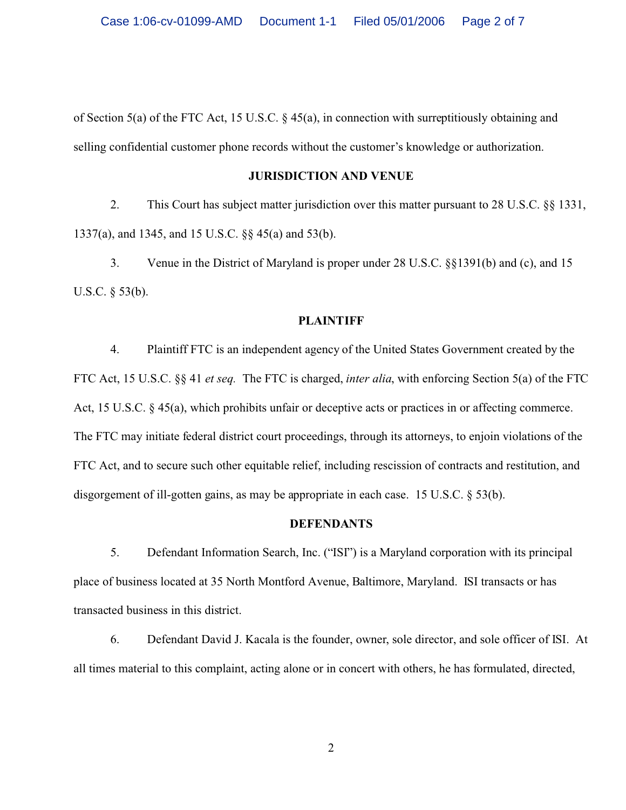of Section 5(a) of the FTC Act, 15 U.S.C. § 45(a), in connection with surreptitiously obtaining and selling confidential customer phone records without the customer's knowledge or authorization.

#### **JURISDICTION AND VENUE**

2. This Court has subject matter jurisdiction over this matter pursuant to 28 U.S.C. §§ 1331, 1337(a), and 1345, and 15 U.S.C. §§ 45(a) and 53(b).

3. Venue in the District of Maryland is proper under 28 U.S.C. §§1391(b) and (c), and 15 U.S.C. § 53(b).

## **PLAINTIFF**

4. Plaintiff FTC is an independent agency of the United States Government created by the FTC Act, 15 U.S.C. §§ 41 *et seq.* The FTC is charged, *inter alia*, with enforcing Section 5(a) of the FTC Act, 15 U.S.C. § 45(a), which prohibits unfair or deceptive acts or practices in or affecting commerce. The FTC may initiate federal district court proceedings, through its attorneys, to enjoin violations of the FTC Act, and to secure such other equitable relief, including rescission of contracts and restitution, and disgorgement of ill-gotten gains, as may be appropriate in each case. 15 U.S.C. § 53(b).

#### **DEFENDANTS**

5. Defendant Information Search, Inc. ("ISI") is a Maryland corporation with its principal place of business located at 35 North Montford Avenue, Baltimore, Maryland. ISI transacts or has transacted business in this district.

6. Defendant David J. Kacala is the founder, owner, sole director, and sole officer of ISI. At all times material to this complaint, acting alone or in concert with others, he has formulated, directed,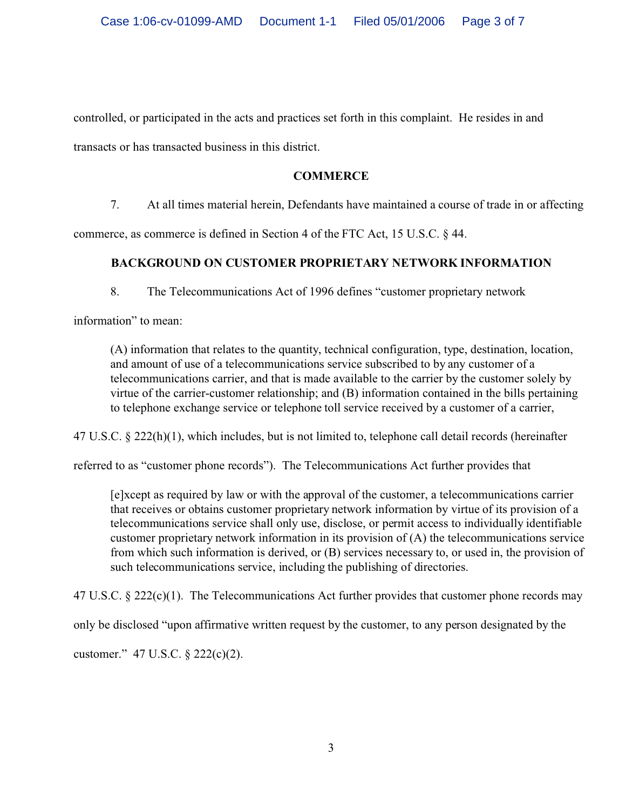controlled, or participated in the acts and practices set forth in this complaint. He resides in and

transacts or has transacted business in this district.

# **COMMERCE**

7. At all times material herein, Defendants have maintained a course of trade in or affecting

commerce, as commerce is defined in Section 4 of the FTC Act, 15 U.S.C. § 44.

# **BACKGROUND ON CUSTOMER PROPRIETARY NETWORK INFORMATION**

8. The Telecommunications Act of 1996 defines "customer proprietary network

information" to mean:

(A) information that relates to the quantity, technical configuration, type, destination, location, and amount of use of a telecommunications service subscribed to by any customer of a telecommunications carrier, and that is made available to the carrier by the customer solely by virtue of the carrier-customer relationship; and (B) information contained in the bills pertaining to telephone exchange service or telephone toll service received by a customer of a carrier,

47 U.S.C. § 222(h)(1), which includes, but is not limited to, telephone call detail records (hereinafter

referred to as "customer phone records"). The Telecommunications Act further provides that

[e]xcept as required by law or with the approval of the customer, a telecommunications carrier that receives or obtains customer proprietary network information by virtue of its provision of a telecommunications service shall only use, disclose, or permit access to individually identifiable customer proprietary network information in its provision of (A) the telecommunications service from which such information is derived, or (B) services necessary to, or used in, the provision of such telecommunications service, including the publishing of directories.

47 U.S.C. § 222(c)(1). The Telecommunications Act further provides that customer phone records may

only be disclosed "upon affirmative written request by the customer, to any person designated by the

customer." 47 U.S.C. § 222(c)(2).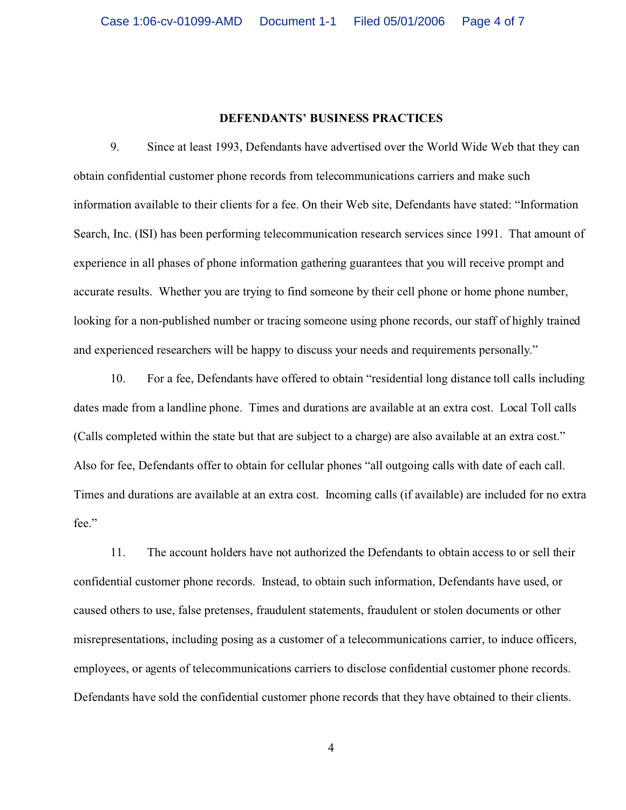## **DEFENDANTS' BUSINESS PRACTICES**

9. Since at least 1993, Defendants have advertised over the World Wide Web that they can obtain confidential customer phone records from telecommunications carriers and make such information available to their clients for a fee. On their Web site, Defendants have stated: "Information Search, Inc. (ISI) has been performing telecommunication research services since 1991. That amount of experience in all phases of phone information gathering guarantees that you will receive prompt and accurate results. Whether you are trying to find someone by their cell phone or home phone number, looking for a non-published number or tracing someone using phone records, our staff of highly trained and experienced researchers will be happy to discuss your needs and requirements personally."

10. For a fee, Defendants have offered to obtain "residential long distance toll calls including dates made from a landline phone. Times and durations are available at an extra cost. Local Toll calls (Calls completed within the state but that are subject to a charge) are also available at an extra cost." Also for fee, Defendants offer to obtain for cellular phones "all outgoing calls with date of each call. Times and durations are available at an extra cost. Incoming calls (if available) are included for no extra fee."

11. The account holders have not authorized the Defendants to obtain access to or sell their confidential customer phone records. Instead, to obtain such information, Defendants have used, or caused others to use, false pretenses, fraudulent statements, fraudulent or stolen documents or other misrepresentations, including posing as a customer of a telecommunications carrier, to induce officers, employees, or agents of telecommunications carriers to disclose confidential customer phone records. Defendants have sold the confidential customer phone records that they have obtained to their clients.

4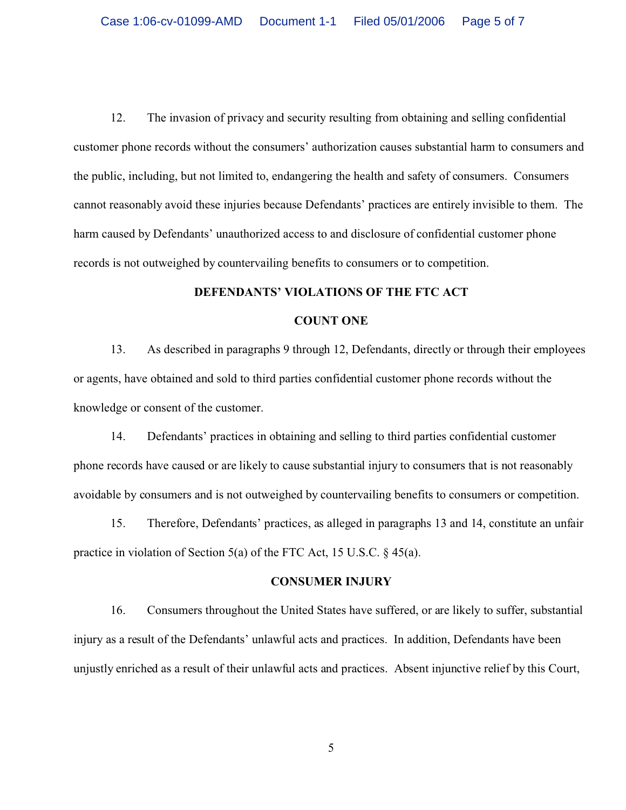12. The invasion of privacy and security resulting from obtaining and selling confidential customer phone records without the consumers' authorization causes substantial harm to consumers and the public, including, but not limited to, endangering the health and safety of consumers. Consumers cannot reasonably avoid these injuries because Defendants' practices are entirely invisible to them. The harm caused by Defendants' unauthorized access to and disclosure of confidential customer phone records is not outweighed by countervailing benefits to consumers or to competition.

#### **DEFENDANTS' VIOLATIONS OF THE FTC ACT**

#### **COUNT ONE**

13. As described in paragraphs 9 through 12, Defendants, directly or through their employees or agents, have obtained and sold to third parties confidential customer phone records without the knowledge or consent of the customer.

14. Defendants' practices in obtaining and selling to third parties confidential customer phone records have caused or are likely to cause substantial injury to consumers that is not reasonably avoidable by consumers and is not outweighed by countervailing benefits to consumers or competition.

15. Therefore, Defendants' practices, as alleged in paragraphs 13 and 14, constitute an unfair practice in violation of Section 5(a) of the FTC Act, 15 U.S.C. § 45(a).

#### **CONSUMER INJURY**

16. Consumers throughout the United States have suffered, or are likely to suffer, substantial injury as a result of the Defendants' unlawful acts and practices. In addition, Defendants have been unjustly enriched as a result of their unlawful acts and practices. Absent injunctive relief by this Court,

5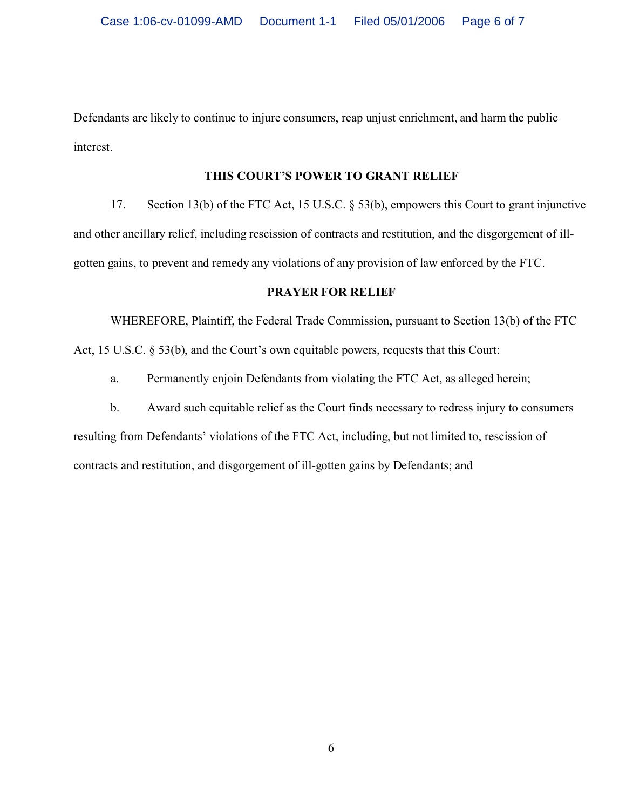Defendants are likely to continue to injure consumers, reap unjust enrichment, and harm the public interest.

## **THIS COURT'S POWER TO GRANT RELIEF**

17. Section 13(b) of the FTC Act, 15 U.S.C. § 53(b), empowers this Court to grant injunctive and other ancillary relief, including rescission of contracts and restitution, and the disgorgement of illgotten gains, to prevent and remedy any violations of any provision of law enforced by the FTC.

### **PRAYER FOR RELIEF**

WHEREFORE, Plaintiff, the Federal Trade Commission, pursuant to Section 13(b) of the FTC Act, 15 U.S.C. § 53(b), and the Court's own equitable powers, requests that this Court:

a. Permanently enjoin Defendants from violating the FTC Act, as alleged herein;

b. Award such equitable relief as the Court finds necessary to redress injury to consumers resulting from Defendants' violations of the FTC Act, including, but not limited to, rescission of contracts and restitution, and disgorgement of ill-gotten gains by Defendants; and